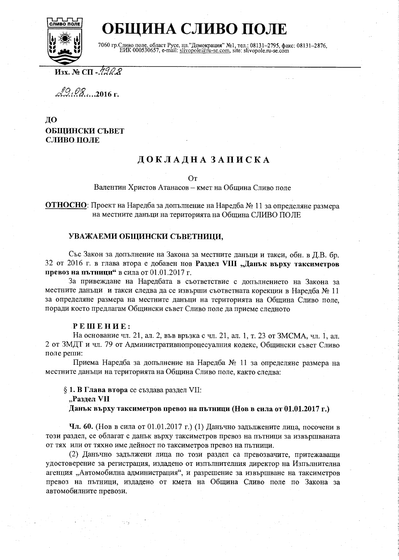

# ОБЩИНА СЛИВО ПОЛЕ

7060 гр. Сливо поле, област Русе, пл."Демокрация" №1, тел.: 08131-2795, факс: 08131-2876, ЕИК 000530657, e-mail: slivopole@ru-se.com, site: slivopole.ru-se.com

 $M$ 3x. No C $\Pi$  - 790  $\chi$ 

 $29.08...2016$  F.

## ДО ОБЩИНСКИ СЪВЕТ СЛИВО ПОЛЕ

## ДОКЛАДНА ЗАПИСКА

#### $O<sub>T</sub>$

Валентин Христов Атанасов - кмет на Община Сливо поле

ОТНОСНО: Проект на Наредба за допълнение на Наредба № 11 за определяне размера на местните данъци на територията на Община СЛИВО ПОЛЕ

### УВАЖАЕМИ ОБЩИНСКИ СЪВЕТНИЦИ,

Със Закон за допълнение на Закона за местните данъци и такси, обн. в Д.В. бр. 32 от 2016 г. в глава втора е добавен нов Раздел VIII "Данък върху таксиметров превоз на пътници" в сила от 01.01.2017 г.

За привеждане на Наредбата в съответствие с допълнението на Закона за местните данъци и такси следва да се извърши съответната корекции в Наредба № 11 за определяне размера на местните данъци на територията на Община Сливо поле. поради което предлагам Общински съвет Сливо поле да приеме следното

#### РЕШЕНИЕ:

На основание чл. 21, ал. 2, във връзка с чл. 21, ал. 1, т. 23 от ЗМСМА, чл. 1, ал. 2 от ЗМДТ и чл. 79 от Административнопроцесуалния кодекс, Общински съвет Сливо поле реши:

Приема Наредба за допълнение на Наредба № 11 за определяне размера на местните данъци на територията на Община Сливо поле, както следва:

§ 1. В Глава втора се създава раздел VII:

"Раздел VII

Данък върху таксиметров превоз на пътници (Нов в сила от 01.01.2017 г.)

Чл. 60. (Нов в сила от 01.01.2017 г.) (1) Данъчно задължените лица, посочени в този раздел, се облагат с данък върху таксиметров превоз на пътници за извършваната от тях или от тяхно име дейност по таксиметров превоз на пътници.

(2) Даньчно задължени лица по този раздел са превозвачите, притежаващи удостоверение за регистрация, издадено от изпълнителния директор на Изпълнителна агенция "Автомобилна администрация", и разрешение за извършване на таксиметров превоз на пътници, издадено от кмета на Община Сливо поле по Закона за автомобилните превози.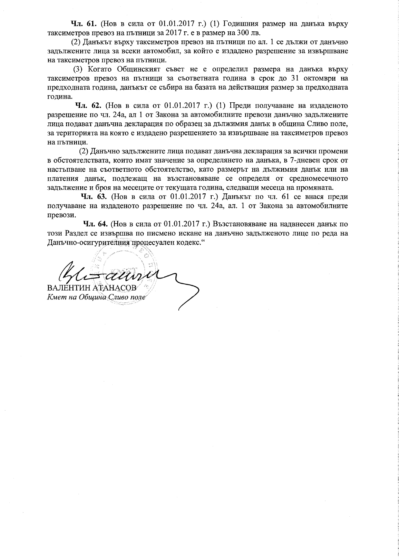Чл. 61. (Нов в сила от 01.01.2017 г.) (1) Годишния размер на данъка върху таксиметров превоз на пътници за 2017 г. е в размер на 300 лв.

(2) Данъкът върху таксиметров превоз на пътници по ал. 1 се дължи от данъчно задължените лица за всеки автомобил, за който е издадено разрешение за извършване на таксиметров превоз на пътници.

(3) Когато Общинският съвет не е определил размера на данъка върху таксиметров превоз на пътници за съответната година в срок до 31 октомври на предходната година, данъкът се събира на базата на действащия размер за предходната година.

**Чл. 62.** (Нов в сила от 01.01.2017 г.) (1) Преди получаване на издаденото разрешение по чл. 24а, ал 1 от Закона за автомобилните превози данъчно задължените лица подават данъчна декларация по образец за дължимия данък в община Сливо поле, за територията на която е издадено разрешението за извършване на таксиметров превоз на пътници.

(2) Данъчно задължените лица подават данъчна декларация за всички промени в обстоятелствата, които имат значение за определянето на данъка, в 7-дневен срок от настыпване на съответното обстоятелство, като размерът на дължимия данък или на платения данък, подлежащ на възстановяване се определя от средномесечното задължение и броя на месеците от текущата година, следващи месеца на промяната.

Чл. 63. (Нов в сила от 01.01.2017 г.) Данъкът по чл. 61 се внася преди получаване на издаденото разрешение по чл. 24а, ал. 1 от Закона за автомобилните превози.

**Чл. 64.** (Нов в сила от 01.01.2017 г.) Възстановяване на надвнесен данък по този Раздел се извършва по писмено искане на данъчно задълженото лице по реда на Данъчно-осигурителния процесуален кодекс."

ВАЛЕНТИН АТАНАСОВ

Кмет на Община Сливо поле